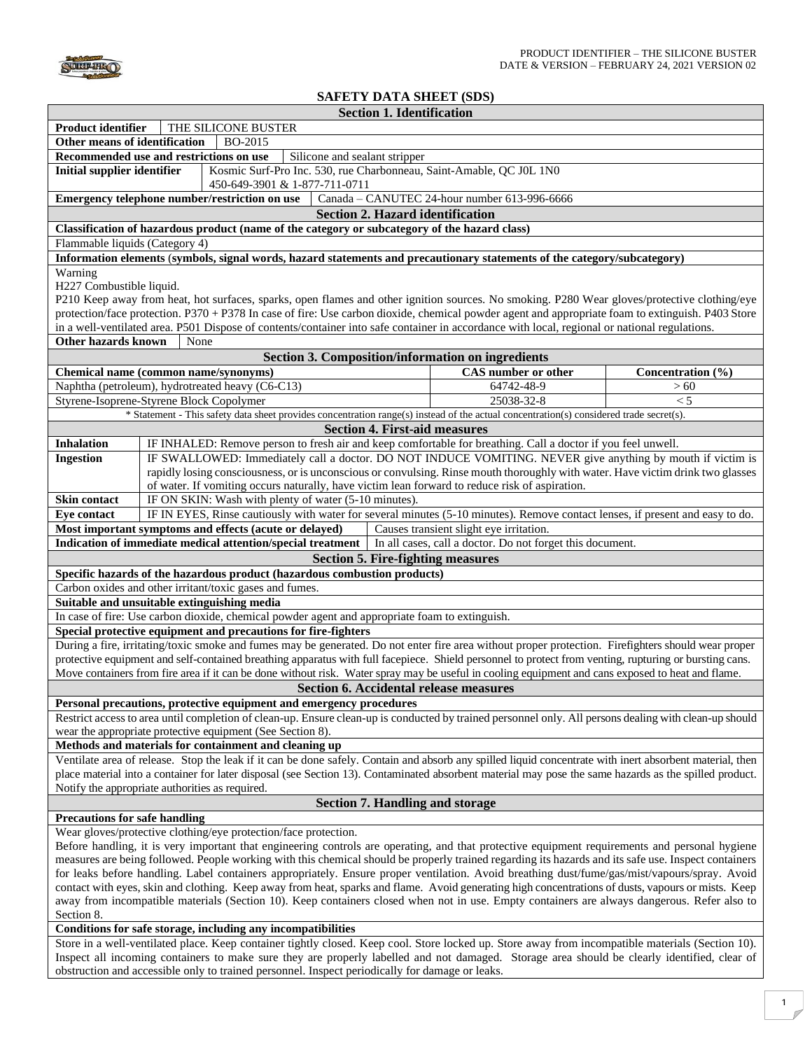

## **SAFETY DATA SHEET (SDS)**

|                                                                                                                                                                                                                                                                                                                    |                                                                                                                                                        | <b>Section 1. Identification</b>     |                                                           |                                          |  |
|--------------------------------------------------------------------------------------------------------------------------------------------------------------------------------------------------------------------------------------------------------------------------------------------------------------------|--------------------------------------------------------------------------------------------------------------------------------------------------------|--------------------------------------|-----------------------------------------------------------|------------------------------------------|--|
|                                                                                                                                                                                                                                                                                                                    | <b>Product identifier</b><br>THE SILICONE BUSTER                                                                                                       |                                      |                                                           |                                          |  |
| Other means of identification                                                                                                                                                                                                                                                                                      | BO-2015                                                                                                                                                |                                      |                                                           |                                          |  |
|                                                                                                                                                                                                                                                                                                                    | Recommended use and restrictions on use<br>Silicone and sealant stripper                                                                               |                                      |                                                           |                                          |  |
| <b>Initial supplier identifier</b><br>Kosmic Surf-Pro Inc. 530, rue Charbonneau, Saint-Amable, QC J0L 1N0<br>450-649-3901 & 1-877-711-0711                                                                                                                                                                         |                                                                                                                                                        |                                      |                                                           |                                          |  |
|                                                                                                                                                                                                                                                                                                                    | Emergency telephone number/restriction on use                                                                                                          |                                      | Canada - CANUTEC 24-hour number 613-996-6666              |                                          |  |
|                                                                                                                                                                                                                                                                                                                    |                                                                                                                                                        |                                      | <b>Section 2. Hazard identification</b>                   |                                          |  |
|                                                                                                                                                                                                                                                                                                                    | Classification of hazardous product (name of the category or subcategory of the hazard class)                                                          |                                      |                                                           |                                          |  |
| Flammable liquids (Category 4)                                                                                                                                                                                                                                                                                     |                                                                                                                                                        |                                      |                                                           |                                          |  |
|                                                                                                                                                                                                                                                                                                                    | Information elements (symbols, signal words, hazard statements and precautionary statements of the category/subcategory)                               |                                      |                                                           |                                          |  |
| Warning                                                                                                                                                                                                                                                                                                            |                                                                                                                                                        |                                      |                                                           |                                          |  |
| H227 Combustible liquid.                                                                                                                                                                                                                                                                                           |                                                                                                                                                        |                                      |                                                           |                                          |  |
|                                                                                                                                                                                                                                                                                                                    | P210 Keep away from heat, hot surfaces, sparks, open flames and other ignition sources. No smoking. P280 Wear gloves/protective clothing/eye           |                                      |                                                           |                                          |  |
|                                                                                                                                                                                                                                                                                                                    | protection/face protection. P370 + P378 In case of fire: Use carbon dioxide, chemical powder agent and appropriate foam to extinguish. P403 Store      |                                      |                                                           |                                          |  |
|                                                                                                                                                                                                                                                                                                                    | in a well-ventilated area. P501 Dispose of contents/container into safe container in accordance with local, regional or national regulations.          |                                      |                                                           |                                          |  |
| <b>Other hazards known</b>                                                                                                                                                                                                                                                                                         | None                                                                                                                                                   |                                      |                                                           |                                          |  |
|                                                                                                                                                                                                                                                                                                                    |                                                                                                                                                        |                                      | Section 3. Composition/information on ingredients         |                                          |  |
|                                                                                                                                                                                                                                                                                                                    | Chemical name (common name/synonyms)                                                                                                                   |                                      | <b>CAS</b> number or other                                | Concentration $(\overline{\frac{9}{6}})$ |  |
|                                                                                                                                                                                                                                                                                                                    | Naphtha (petroleum), hydrotreated heavy (C6-C13)                                                                                                       |                                      | 64742-48-9                                                | >60                                      |  |
|                                                                                                                                                                                                                                                                                                                    | Styrene-Isoprene-Styrene Block Copolymer                                                                                                               |                                      | 25038-32-8                                                | < 5                                      |  |
|                                                                                                                                                                                                                                                                                                                    | * Statement - This safety data sheet provides concentration range(s) instead of the actual concentration(s) considered trade secret(s).                |                                      |                                                           |                                          |  |
|                                                                                                                                                                                                                                                                                                                    |                                                                                                                                                        | <b>Section 4. First-aid measures</b> |                                                           |                                          |  |
| <b>Inhalation</b>                                                                                                                                                                                                                                                                                                  | IF INHALED: Remove person to fresh air and keep comfortable for breathing. Call a doctor if you feel unwell.                                           |                                      |                                                           |                                          |  |
| <b>Ingestion</b>                                                                                                                                                                                                                                                                                                   | IF SWALLOWED: Immediately call a doctor. DO NOT INDUCE VOMITING. NEVER give anything by mouth if victim is                                             |                                      |                                                           |                                          |  |
|                                                                                                                                                                                                                                                                                                                    | rapidly losing consciousness, or is unconscious or convulsing. Rinse mouth thoroughly with water. Have victim drink two glasses                        |                                      |                                                           |                                          |  |
|                                                                                                                                                                                                                                                                                                                    | of water. If vomiting occurs naturally, have victim lean forward to reduce risk of aspiration.                                                         |                                      |                                                           |                                          |  |
| Skin contact                                                                                                                                                                                                                                                                                                       | IF ON SKIN: Wash with plenty of water (5-10 minutes).                                                                                                  |                                      |                                                           |                                          |  |
| <b>Eve contact</b>                                                                                                                                                                                                                                                                                                 | IF IN EYES, Rinse cautiously with water for several minutes (5-10 minutes). Remove contact lenses, if present and easy to do.                          |                                      |                                                           |                                          |  |
|                                                                                                                                                                                                                                                                                                                    | Most important symptoms and effects (acute or delayed)                                                                                                 |                                      | Causes transient slight eye irritation.                   |                                          |  |
|                                                                                                                                                                                                                                                                                                                    | Indication of immediate medical attention/special treatment                                                                                            |                                      | In all cases, call a doctor. Do not forget this document. |                                          |  |
|                                                                                                                                                                                                                                                                                                                    |                                                                                                                                                        |                                      | <b>Section 5. Fire-fighting measures</b>                  |                                          |  |
|                                                                                                                                                                                                                                                                                                                    | Specific hazards of the hazardous product (hazardous combustion products)                                                                              |                                      |                                                           |                                          |  |
|                                                                                                                                                                                                                                                                                                                    | Carbon oxides and other irritant/toxic gases and fumes.                                                                                                |                                      |                                                           |                                          |  |
|                                                                                                                                                                                                                                                                                                                    | Suitable and unsuitable extinguishing media                                                                                                            |                                      |                                                           |                                          |  |
|                                                                                                                                                                                                                                                                                                                    | In case of fire: Use carbon dioxide, chemical powder agent and appropriate foam to extinguish.                                                         |                                      |                                                           |                                          |  |
|                                                                                                                                                                                                                                                                                                                    | Special protective equipment and precautions for fire-fighters                                                                                         |                                      |                                                           |                                          |  |
|                                                                                                                                                                                                                                                                                                                    | During a fire, irritating/toxic smoke and fumes may be generated. Do not enter fire area without proper protection. Firefighters should wear proper    |                                      |                                                           |                                          |  |
|                                                                                                                                                                                                                                                                                                                    | protective equipment and self-contained breathing apparatus with full facepiece. Shield personnel to protect from venting, rupturing or bursting cans. |                                      |                                                           |                                          |  |
| Move containers from fire area if it can be done without risk. Water spray may be useful in cooling equipment and cans exposed to heat and flame.                                                                                                                                                                  |                                                                                                                                                        |                                      |                                                           |                                          |  |
| <b>Section 6. Accidental release measures</b>                                                                                                                                                                                                                                                                      |                                                                                                                                                        |                                      |                                                           |                                          |  |
| Personal precautions, protective equipment and emergency procedures                                                                                                                                                                                                                                                |                                                                                                                                                        |                                      |                                                           |                                          |  |
| Restrict access to area until completion of clean-up. Ensure clean-up is conducted by trained personnel only. All persons dealing with clean-up should                                                                                                                                                             |                                                                                                                                                        |                                      |                                                           |                                          |  |
| wear the appropriate protective equipment (See Section 8).                                                                                                                                                                                                                                                         |                                                                                                                                                        |                                      |                                                           |                                          |  |
| Methods and materials for containment and cleaning up                                                                                                                                                                                                                                                              |                                                                                                                                                        |                                      |                                                           |                                          |  |
| Ventilate area of release. Stop the leak if it can be done safely. Contain and absorb any spilled liquid concentrate with inert absorbent material, then<br>place material into a container for later disposal (see Section 13). Contaminated absorbent material may pose the same hazards as the spilled product. |                                                                                                                                                        |                                      |                                                           |                                          |  |
|                                                                                                                                                                                                                                                                                                                    |                                                                                                                                                        |                                      |                                                           |                                          |  |
| Notify the appropriate authorities as required.                                                                                                                                                                                                                                                                    |                                                                                                                                                        |                                      |                                                           |                                          |  |
| <b>Section 7. Handling and storage</b>                                                                                                                                                                                                                                                                             |                                                                                                                                                        |                                      |                                                           |                                          |  |
| <b>Precautions for safe handling</b>                                                                                                                                                                                                                                                                               |                                                                                                                                                        |                                      |                                                           |                                          |  |
| Wear gloves/protective clothing/eye protection/face protection.                                                                                                                                                                                                                                                    |                                                                                                                                                        |                                      |                                                           |                                          |  |
| Before handling, it is very important that engineering controls are operating, and that protective equipment requirements and personal hygiene<br>measures are being followed. People working with this chemical should be properly trained regarding its hazards and its safe use. Inspect containers             |                                                                                                                                                        |                                      |                                                           |                                          |  |
| for leaks before handling. Label containers appropriately. Ensure proper ventilation. Avoid breathing dust/fume/gas/mist/vapours/spray. Avoid                                                                                                                                                                      |                                                                                                                                                        |                                      |                                                           |                                          |  |
| contact with eyes, skin and clothing. Keep away from heat, sparks and flame. Avoid generating high concentrations of dusts, vapours or mists. Keep                                                                                                                                                                 |                                                                                                                                                        |                                      |                                                           |                                          |  |
| away from incompatible materials (Section 10). Keep containers closed when not in use. Empty containers are always dangerous. Refer also to                                                                                                                                                                        |                                                                                                                                                        |                                      |                                                           |                                          |  |
| Section 8.                                                                                                                                                                                                                                                                                                         |                                                                                                                                                        |                                      |                                                           |                                          |  |
| Conditions for safe storage, including any incompatibilities                                                                                                                                                                                                                                                       |                                                                                                                                                        |                                      |                                                           |                                          |  |
|                                                                                                                                                                                                                                                                                                                    | Store in a well-ventilated place. Keep container tightly closed. Keep cool. Store locked up. Store away from incompatible materials (Section 10).      |                                      |                                                           |                                          |  |
| Inspect all incoming containers to make sure they are properly labelled and not damaged. Storage area should be clearly identified, clear of                                                                                                                                                                       |                                                                                                                                                        |                                      |                                                           |                                          |  |
| obstruction and accessible only to trained personnel. Inspect periodically for damage or leaks.                                                                                                                                                                                                                    |                                                                                                                                                        |                                      |                                                           |                                          |  |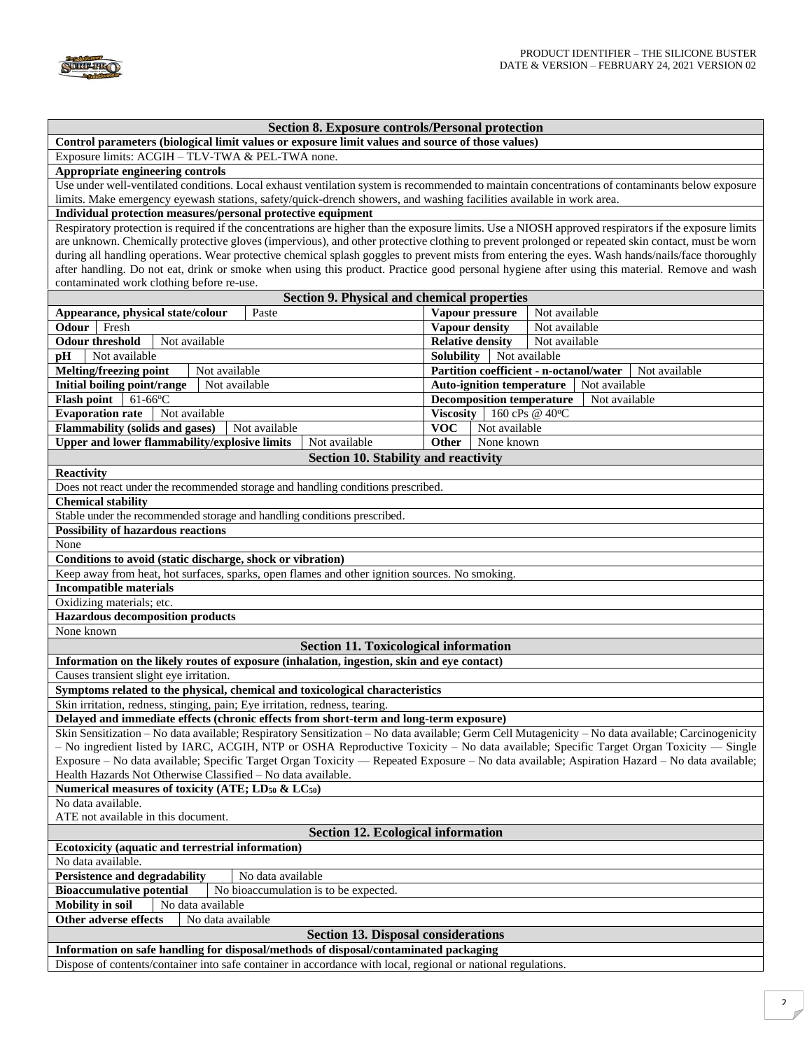

| <b>Section 8. Exposure controls/Personal protection</b>                                                                                                                                                                                      |                                                          |  |  |  |  |
|----------------------------------------------------------------------------------------------------------------------------------------------------------------------------------------------------------------------------------------------|----------------------------------------------------------|--|--|--|--|
| Control parameters (biological limit values or exposure limit values and source of those values)                                                                                                                                             |                                                          |  |  |  |  |
| Exposure limits: ACGIH - TLV-TWA & PEL-TWA none.                                                                                                                                                                                             |                                                          |  |  |  |  |
| Appropriate engineering controls<br>Use under well-ventilated conditions. Local exhaust ventilation system is recommended to maintain concentrations of contaminants below exposure                                                          |                                                          |  |  |  |  |
|                                                                                                                                                                                                                                              |                                                          |  |  |  |  |
| limits. Make emergency eyewash stations, safety/quick-drench showers, and washing facilities available in work area.<br>Individual protection measures/personal protective equipment                                                         |                                                          |  |  |  |  |
| Respiratory protection is required if the concentrations are higher than the exposure limits. Use a NIOSH approved respirators if the exposure limits                                                                                        |                                                          |  |  |  |  |
| are unknown. Chemically protective gloves (impervious), and other protective clothing to prevent prolonged or repeated skin contact, must be worn                                                                                            |                                                          |  |  |  |  |
| during all handling operations. Wear protective chemical splash goggles to prevent mists from entering the eyes. Wash hands/nails/face thoroughly                                                                                            |                                                          |  |  |  |  |
| after handling. Do not eat, drink or smoke when using this product. Practice good personal hygiene after using this material. Remove and wash                                                                                                |                                                          |  |  |  |  |
| contaminated work clothing before re-use.                                                                                                                                                                                                    |                                                          |  |  |  |  |
| <b>Section 9. Physical and chemical properties</b>                                                                                                                                                                                           |                                                          |  |  |  |  |
| Appearance, physical state/colour<br>Paste                                                                                                                                                                                                   | Not available<br>Vapour pressure                         |  |  |  |  |
| Odour<br>Fresh                                                                                                                                                                                                                               | <b>Vapour density</b><br>Not available                   |  |  |  |  |
| <b>Odour threshold</b><br>Not available                                                                                                                                                                                                      | <b>Relative density</b><br>Not available                 |  |  |  |  |
| Not available<br>pH                                                                                                                                                                                                                          | <b>Solubility</b><br>Not available                       |  |  |  |  |
| Melting/freezing point<br>Not available                                                                                                                                                                                                      | Partition coefficient - n-octanol/water<br>Not available |  |  |  |  |
| Initial boiling point/range<br>Not available                                                                                                                                                                                                 | <b>Auto-ignition temperature</b><br>Not available        |  |  |  |  |
| $61-66$ °C<br><b>Flash point</b>                                                                                                                                                                                                             | <b>Decomposition temperature</b><br>Not available        |  |  |  |  |
| <b>Evaporation rate</b><br>Not available                                                                                                                                                                                                     | <b>Viscosity</b><br>160 cPs @ 40°C                       |  |  |  |  |
| <b>Flammability (solids and gases)</b>                                                                                                                                                                                                       | <b>VOC</b><br>Not available                              |  |  |  |  |
| Not available                                                                                                                                                                                                                                |                                                          |  |  |  |  |
| Upper and lower flammability/explosive limits<br>Not available                                                                                                                                                                               | Other<br>None known                                      |  |  |  |  |
| Section 10. Stability and reactivity                                                                                                                                                                                                         |                                                          |  |  |  |  |
| Reactivity                                                                                                                                                                                                                                   |                                                          |  |  |  |  |
| Does not react under the recommended storage and handling conditions prescribed.                                                                                                                                                             |                                                          |  |  |  |  |
| <b>Chemical stability</b>                                                                                                                                                                                                                    |                                                          |  |  |  |  |
| Stable under the recommended storage and handling conditions prescribed.                                                                                                                                                                     |                                                          |  |  |  |  |
| <b>Possibility of hazardous reactions</b>                                                                                                                                                                                                    |                                                          |  |  |  |  |
| None                                                                                                                                                                                                                                         |                                                          |  |  |  |  |
| Conditions to avoid (static discharge, shock or vibration)                                                                                                                                                                                   |                                                          |  |  |  |  |
| Keep away from heat, hot surfaces, sparks, open flames and other ignition sources. No smoking.                                                                                                                                               |                                                          |  |  |  |  |
| <b>Incompatible materials</b>                                                                                                                                                                                                                |                                                          |  |  |  |  |
| Oxidizing materials; etc.                                                                                                                                                                                                                    |                                                          |  |  |  |  |
| <b>Hazardous decomposition products</b>                                                                                                                                                                                                      |                                                          |  |  |  |  |
| None known                                                                                                                                                                                                                                   |                                                          |  |  |  |  |
| <b>Section 11. Toxicological information</b>                                                                                                                                                                                                 |                                                          |  |  |  |  |
| Information on the likely routes of exposure (inhalation, ingestion, skin and eye contact)                                                                                                                                                   |                                                          |  |  |  |  |
| Causes transient slight eye irritation.                                                                                                                                                                                                      |                                                          |  |  |  |  |
| Symptoms related to the physical, chemical and toxicological characteristics                                                                                                                                                                 |                                                          |  |  |  |  |
| Skin irritation, redness, stinging, pain; Eye irritation, redness, tearing.                                                                                                                                                                  |                                                          |  |  |  |  |
|                                                                                                                                                                                                                                              |                                                          |  |  |  |  |
| Delayed and immediate effects (chronic effects from short-term and long-term exposure)<br>Skin Sensitization - No data available; Respiratory Sensitization - No data available; Germ Cell Mutagenicity - No data available; Carcinogenicity |                                                          |  |  |  |  |
| - No ingredient listed by IARC, ACGIH, NTP or OSHA Reproductive Toxicity - No data available; Specific Target Organ Toxicity - Single                                                                                                        |                                                          |  |  |  |  |
| Exposure – No data available; Specific Target Organ Toxicity — Repeated Exposure – No data available; Aspiration Hazard – No data available;                                                                                                 |                                                          |  |  |  |  |
| Health Hazards Not Otherwise Classified – No data available.                                                                                                                                                                                 |                                                          |  |  |  |  |
|                                                                                                                                                                                                                                              |                                                          |  |  |  |  |
| Numerical measures of toxicity (ATE; $LD_{50}$ & $LC_{50}$ )                                                                                                                                                                                 |                                                          |  |  |  |  |
| No data available.                                                                                                                                                                                                                           |                                                          |  |  |  |  |
| ATE not available in this document.                                                                                                                                                                                                          |                                                          |  |  |  |  |
| <b>Section 12. Ecological information</b>                                                                                                                                                                                                    |                                                          |  |  |  |  |
| Ecotoxicity (aquatic and terrestrial information)                                                                                                                                                                                            |                                                          |  |  |  |  |
| No data available.                                                                                                                                                                                                                           |                                                          |  |  |  |  |
| <b>Persistence and degradability</b><br>No data available                                                                                                                                                                                    |                                                          |  |  |  |  |
| <b>Bioaccumulative potential</b><br>No bioaccumulation is to be expected.                                                                                                                                                                    |                                                          |  |  |  |  |
| <b>Mobility</b> in soil<br>No data available                                                                                                                                                                                                 |                                                          |  |  |  |  |
| Other adverse effects<br>No data available                                                                                                                                                                                                   |                                                          |  |  |  |  |
| <b>Section 13. Disposal considerations</b>                                                                                                                                                                                                   |                                                          |  |  |  |  |
| Information on safe handling for disposal/methods of disposal/contaminated packaging                                                                                                                                                         |                                                          |  |  |  |  |
| Dispose of contents/container into safe container in accordance with local, regional or national regulations.                                                                                                                                |                                                          |  |  |  |  |
|                                                                                                                                                                                                                                              |                                                          |  |  |  |  |